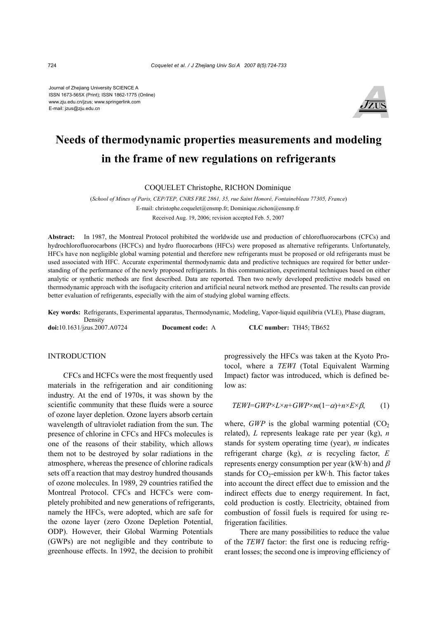Journal of Zhejiang University SCIENCE A ISSN 1673-565X (Print); ISSN 1862-1775 (Online) www.zju.edu.cn/jzus; www.springerlink.com E-mail: jzus@zju.edu.cn



# **Needs of thermodynamic properties measurements and modeling in the frame of new regulations on refrigerants**

COQUELET Christophe, RICHON Dominique

(*School of Mines of Paris, CEP/TEP, CNRS FRE 2861, 35, rue Saint Honoré, Fontainebleau 77305, France*) E-mail: christophe.coquelet@ensmp.fr; Dominique.richon@ensmp.fr Received Aug. 19, 2006; revision accepted Feb. 5, 2007

**Abstract:** In 1987, the Montreal Protocol prohibited the worldwide use and production of chlorofluorocarbons (CFCs) and hydrochlorofluorocarbons (HCFCs) and hydro fluorocarbons (HFCs) were proposed as alternative refrigerants. Unfortunately, HFCs have non negligible global warning potential and therefore new refrigerants must be proposed or old refrigerants must be used associated with HFC. Accurate experimental thermodynamic data and predictive techniques are required for better understanding of the performance of the newly proposed refrigerants. In this communication, experimental techniques based on either analytic or synthetic methods are first described. Data are reported. Then two newly developed predictive models based on thermodynamic approach with the isofugacity criterion and artificial neural network method are presented. The results can provide better evaluation of refrigerants, especially with the aim of studying global warning effects.

**Key words:** Refrigerants, Experimental apparatus, Thermodynamic, Modeling, Vapor-liquid equilibria (VLE), Phase diagram, Density

**doi:**10.1631/jzus.2007.A0724 **Document code:** A **CLC number:** TH45; TB652

## INTRODUCTION

CFCs and HCFCs were the most frequently used materials in the refrigeration and air conditioning industry. At the end of 1970s, it was shown by the scientific community that these fluids were a source of ozone layer depletion. Ozone layers absorb certain wavelength of ultraviolet radiation from the sun. The presence of chlorine in CFCs and HFCs molecules is one of the reasons of their stability, which allows them not to be destroyed by solar radiations in the atmosphere, whereas the presence of chlorine radicals sets off a reaction that may destroy hundred thousands of ozone molecules. In 1989, 29 countries ratified the Montreal Protocol. CFCs and HCFCs were completely prohibited and new generations of refrigerants, namely the HFCs, were adopted, which are safe for the ozone layer (zero Ozone Depletion Potential, ODP). However, their Global Warming Potentials (GWPs) are not negligible and they contribute to greenhouse effects. In 1992, the decision to prohibit

progressively the HFCs was taken at the Kyoto Protocol, where a *TEWI* (Total Equivalent Warming Impact) factor was introduced, which is defined below as:

$$
TEWI = GWP \times L \times n + GWP \times m(1 - \alpha) + n \times E \times \beta, \qquad (1)
$$

where, *GWP* is the global warming potential  $(CO<sub>2</sub>)$ related), *L* represents leakage rate per year (kg), *n* stands for system operating time (year), *m* indicates refrigerant charge (kg), α is recycling factor, *E* represents energy consumption per year (kW·h) and  $\beta$ stands for  $CO_2$ -emission per kW·h. This factor takes into account the direct effect due to emission and the indirect effects due to energy requirement. In fact, cold production is costly. Electricity, obtained from combustion of fossil fuels is required for using refrigeration facilities.

There are many possibilities to reduce the value of the *TEWI* factor: the first one is reducing refrigerant losses; the second one is improving efficiency of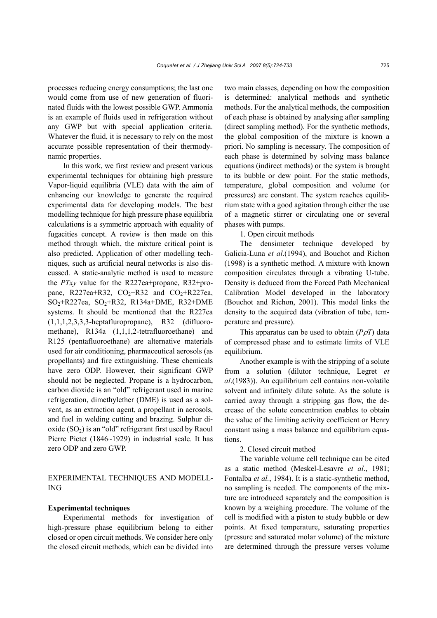processes reducing energy consumptions; the last one would come from use of new generation of fluorinated fluids with the lowest possible GWP. Ammonia is an example of fluids used in refrigeration without any GWP but with special application criteria. Whatever the fluid, it is necessary to rely on the most accurate possible representation of their thermodynamic properties.

In this work, we first review and present various experimental techniques for obtaining high pressure Vapor-liquid equilibria (VLE) data with the aim of enhancing our knowledge to generate the required experimental data for developing models. The best modelling technique for high pressure phase equilibria calculations is a symmetric approach with equality of fugacities concept. A review is then made on this method through which, the mixture critical point is also predicted. Application of other modelling techniques, such as artificial neural networks is also discussed. A static-analytic method is used to measure the *PTxy* value for the R227ea+propane, R32+propane, R227ea+R32,  $CO_2+R32$  and  $CO_2+R227$ ea,  $SO_2+R227ea$ ,  $SO_2+R32$ ,  $R134a+DME$ ,  $R32+DME$ systems. It should be mentioned that the R227ea  $(1,1,1,2,3,3,3)$ -heptafluropropane), R32 (difluoromethane), R134a (1,1,1,2-tetrafluoroethane) and R125 (pentafluoroethane) are alternative materials used for air conditioning, pharmaceutical aerosols (as propellants) and fire extinguishing. These chemicals have zero ODP. However, their significant GWP should not be neglected. Propane is a hydrocarbon, carbon dioxide is an "old" refrigerant used in marine refrigeration, dimethylether (DME) is used as a solvent, as an extraction agent, a propellant in aerosols, and fuel in welding cutting and brazing. Sulphur dioxide  $(SO<sub>2</sub>)$  is an "old" refrigerant first used by Raoul Pierre Pictet (1846~1929) in industrial scale. It has zero ODP and zero GWP.

EXPERIMENTAL TECHNIQUES AND MODELL-ING

#### **Experimental techniques**

Experimental methods for investigation of high-pressure phase equilibrium belong to either closed or open circuit methods. We consider here only the closed circuit methods, which can be divided into two main classes, depending on how the composition is determined: analytical methods and synthetic methods. For the analytical methods, the composition of each phase is obtained by analysing after sampling (direct sampling method). For the synthetic methods, the global composition of the mixture is known a priori. No sampling is necessary. The composition of each phase is determined by solving mass balance equations (indirect methods) or the system is brought to its bubble or dew point. For the static methods, temperature, global composition and volume (or pressures) are constant. The system reaches equilibrium state with a good agitation through either the use of a magnetic stirrer or circulating one or several phases with pumps.

1. Open circuit methods

The densimeter technique developed by Galicia-Luna *et al*.(1994), and Bouchot and Richon (1998) is a synthetic method. A mixture with known composition circulates through a vibrating U-tube. Density is deduced from the Forced Path Mechanical Calibration Model developed in the laboratory (Bouchot and Richon, 2001). This model links the density to the acquired data (vibration of tube, temperature and pressure).

This apparatus can be used to obtain  $(P \rho T)$  data of compressed phase and to estimate limits of VLE equilibrium.

Another example is with the stripping of a solute from a solution (dilutor technique, Legret *et al*.(1983)). An equilibrium cell contains non-volatile solvent and infinitely dilute solute. As the solute is carried away through a stripping gas flow, the decrease of the solute concentration enables to obtain the value of the limiting activity coefficient or Henry constant using a mass balance and equilibrium equations.

2. Closed circuit method

The variable volume cell technique can be cited as a static method (Meskel-Lesavre *et al*., 1981; Fontalba *et al.*, 1984). It is a static-synthetic method, no sampling is needed. The components of the mixture are introduced separately and the composition is known by a weighing procedure. The volume of the cell is modified with a piston to study bubble or dew points. At fixed temperature, saturating properties (pressure and saturated molar volume) of the mixture are determined through the pressure verses volume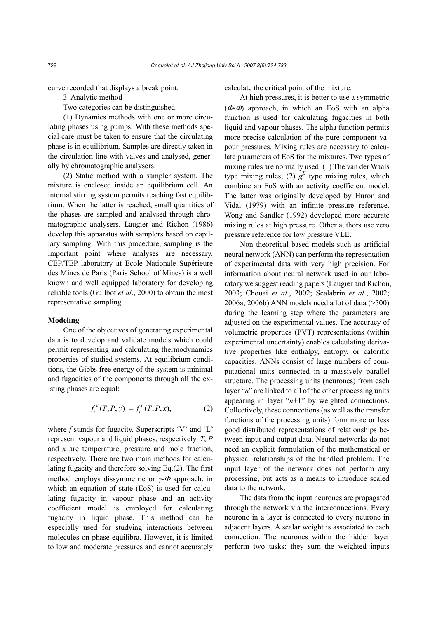curve recorded that displays a break point.

3. Analytic method

Two categories can be distinguished:

(1) Dynamics methods with one or more circulating phases using pumps. With these methods special care must be taken to ensure that the circulating phase is in equilibrium. Samples are directly taken in the circulation line with valves and analysed, generally by chromatographic analysers.

(2) Static method with a sampler system. The mixture is enclosed inside an equilibrium cell. An internal stirring system permits reaching fast equilibrium. When the latter is reached, small quantities of the phases are sampled and analysed through chromatographic analysers. Laugier and Richon (1986) develop this apparatus with samplers based on capillary sampling. With this procedure, sampling is the important point where analyses are necessary. CEP/TEP laboratory at Ecole Nationale Supérieure des Mines de Paris (Paris School of Mines) is a well known and well equipped laboratory for developing reliable tools (Guilbot *et al*., 2000) to obtain the most representative sampling.

#### **Modeling**

One of the objectives of generating experimental data is to develop and validate models which could permit representing and calculating thermodynamics properties of studied systems. At equilibrium conditions, the Gibbs free energy of the system is minimal and fugacities of the components through all the existing phases are equal:

$$
f_i^{\rm V}(T,P,y) = f_i^{\rm L}(T,P,x), \tag{2}
$$

where *f* stands for fugacity. Superscripts 'V' and 'L' represent vapour and liquid phases, respectively. *T*, *P* and *x* are temperature, pressure and mole fraction, respectively. There are two main methods for calculating fugacity and therefore solving Eq.(2). The first method employs dissymmetric or  $\gamma$ - $\Phi$  approach, in which an equation of state (EoS) is used for calculating fugacity in vapour phase and an activity coefficient model is employed for calculating fugacity in liquid phase. This method can be especially used for studying interactions between molecules on phase equilibra. However, it is limited to low and moderate pressures and cannot accurately

calculate the critical point of the mixture.

At high pressures, it is better to use a symmetric  $(\Phi \Phi)$  approach, in which an EoS with an alpha function is used for calculating fugacities in both liquid and vapour phases. The alpha function permits more precise calculation of the pure component vapour pressures. Mixing rules are necessary to calculate parameters of EoS for the mixtures. Two types of mixing rules are normally used: (1) The van der Waals type mixing rules; (2)  $g<sup>E</sup>$  type mixing rules, which combine an EoS with an activity coefficient model. The latter was originally developed by Huron and Vidal (1979) with an infinite pressure reference. Wong and Sandler (1992) developed more accurate mixing rules at high pressure. Other authors use zero pressure reference for low pressure VLE.

Non theoretical based models such as artificial neural network (ANN) can perform the representation of experimental data with very high precision. For information about neural network used in our laboratory we suggest reading papers (Laugier and Richon, 2003; Chouai *et al*., 2002; Scalabrin *et al*., 2002; 2006a; 2006b) ANN models need a lot of data (>500) during the learning step where the parameters are adjusted on the experimental values. The accuracy of volumetric properties (PVT) representations (within experimental uncertainty) enables calculating derivative properties like enthalpy, entropy, or calorific capacities. ANNs consist of large numbers of computational units connected in a massively parallel structure. The processing units (neurones) from each layer "*n*" are linked to all of the other processing units appearing in layer "*n*+1" by weighted connections. Collectively, these connections (as well as the transfer functions of the processing units) form more or less good distributed representations of relationships between input and output data. Neural networks do not need an explicit formulation of the mathematical or physical relationships of the handled problem. The input layer of the network does not perform any processing, but acts as a means to introduce scaled data to the network.

The data from the input neurones are propagated through the network via the interconnections. Every neurone in a layer is connected to every neurone in adjacent layers. A scalar weight is associated to each connection. The neurones within the hidden layer perform two tasks: they sum the weighted inputs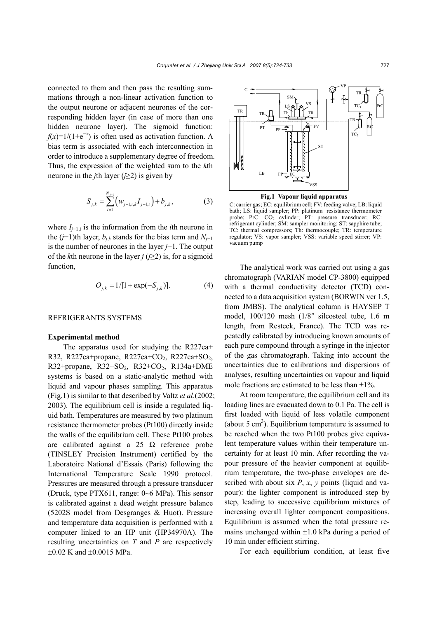connected to them and then pass the resulting summations through a non-linear activation function to the output neurone or adjacent neurones of the corresponding hidden layer (in case of more than one hidden neurone layer). The sigmoid function:  $f(x)=1/(1+e^{-x})$  is often used as activation function. A bias term is associated with each interconnection in order to introduce a supplementary degree of freedom. Thus, the expression of the weighted sum to the *k*th neurone in the *j*th layer (*j*≥2) is given by

$$
S_{j,k} = \sum_{i=1}^{N_{j-1}} \left( w_{j-1,i,k} I_{j-1,i} \right) + b_{j,k}, \tag{3}
$$

where  $I_{i-1,i}$  is the information from the *i*th neurone in the  $(j-1)$ th layer,  $b_{ik}$  stands for the bias term and  $N_{i-1}$ is the number of neurones in the layer *j*−1. The output of the *k*th neurone in the layer *j* (*j*≥2) is, for a sigmoid function,

$$
O_{j,k} = 1/[1 + \exp(-S_{j,k})]. \tag{4}
$$

## REFRIGERANTS SYSTEMS

#### **Experimental method**

The apparatus used for studying the R227ea+ R32, R227ea+propane, R227ea+CO<sub>2</sub>, R227ea+SO<sub>2</sub>, R32+propane, R32+SO<sub>2</sub>, R32+CO<sub>2</sub>, R134a+DME systems is based on a static-analytic method with liquid and vapour phases sampling. This apparatus (Fig.1) is similar to that described by Valtz *et al*.(2002; 2003). The equilibrium cell is inside a regulated liquid bath. Temperatures are measured by two platinum resistance thermometer probes (Pt100) directly inside the walls of the equilibrium cell. These Pt100 probes are calibrated against a 25  $\Omega$  reference probe (TINSLEY Precision Instrument) certified by the Laboratoire National d'Essais (Paris) following the International Temperature Scale 1990 protocol. Pressures are measured through a pressure transducer (Druck, type PTX611, range: 0~6 MPa). This sensor is calibrated against a dead weight pressure balance (5202S model from Desgranges & Huot). Pressure and temperature data acquisition is performed with a computer linked to an HP unit (HP34970A). The resulting uncertainties on *T* and *P* are respectively ±0.02 K and ±0.0015 MPa.



**Fig.1 Vapour liquid apparatus** 

C: carrier gas; EC: equilibrium cell; FV: feeding valve; LB: liquid bath; LS: liquid sampler; PP: platinum resistance thermometer probe; PrC: CO<sub>2</sub> cylinder; PT: pressure transducer; RC: refrigerant cylinder; SM: sampler monitoring; ST: sapphire tube; TC: thermal compressors; Th: thermocouple; TR: temperature regulator; VS: vapor sampler; VSS: variable speed stirrer; VP: vacuum pump

The analytical work was carried out using a gas chromatograph (VARIAN model CP-3800) equipped with a thermal conductivity detector (TCD) connected to a data acquisition system (BORWIN ver 1.5, from JMBS). The analytical column is HAYSEP T model, 100/120 mesh (1/8″ silcosteel tube, 1.6 m length, from Resteck, France). The TCD was repeatedly calibrated by introducing known amounts of each pure compound through a syringe in the injector of the gas chromatograph. Taking into account the uncertainties due to calibrations and dispersions of analyses, resulting uncertainties on vapour and liquid mole fractions are estimated to be less than  $\pm 1\%$ .

At room temperature, the equilibrium cell and its loading lines are evacuated down to 0.1 Pa. The cell is first loaded with liquid of less volatile component (about 5 cm<sup>3</sup>). Equilibrium temperature is assumed to be reached when the two Pt100 probes give equivalent temperature values within their temperature uncertainty for at least 10 min. After recording the vapour pressure of the heavier component at equilibrium temperature, the two-phase envelopes are described with about six *P*, *x*, *y* points (liquid and vapour): the lighter component is introduced step by step, leading to successive equilibrium mixtures of increasing overall lighter component compositions. Equilibrium is assumed when the total pressure remains unchanged within  $\pm 1.0$  kPa during a period of 10 min under efficient stirring.

For each equilibrium condition, at least five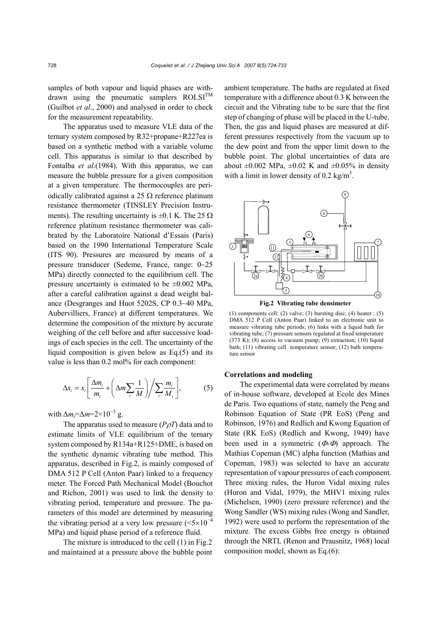samples of both vapour and liquid phases are withdrawn using the pneumatic samplers  $ROLSI<sup>TM</sup>$ (Guilbot *et al*., 2000) and analysed in order to check for the measurement repeatability.

The apparatus used to measure VLE data of the ternary system composed by R32+propane+R227ea is based on a synthetic method with a variable volume cell. This apparatus is similar to that described by Fontalba *et al*.(1984). With this apparatus, we can measure the bubble pressure for a given composition at a given temperature. The thermocouples are periodically calibrated against a 25  $\Omega$  reference platinum resistance thermometer (TINSLEY Precision Instruments). The resulting uncertainty is  $\pm 0.1$  K. The 25  $\Omega$ reference platinum resistance thermometer was calibrated by the Laboratoire National d'Essais (Paris) based on the 1990 International Temperature Scale (ITS 90). Pressures are measured by means of a pressure transducer (Sedeme, France, range: 0~25 MPa) directly connected to the equilibrium cell. The pressure uncertainty is estimated to be  $\pm 0.002$  MPa, after a careful calibration against a dead weight balance (Desgranges and Huot 5202S, CP 0.3~40 MPa, Aubervilliers, France) at different temperatures. We determine the composition of the mixture by accurate weighing of the cell before and after successive loadings of each species in the cell. The uncertainty of the liquid composition is given below as Eq.(5) and its value is less than  $0.2 \text{ mol}$ % for each component:

$$
\Delta x_i = x_i \left[ \frac{\Delta m_i}{m_i} + \left( \Delta m \sum_i \frac{1}{M} \right) \middle/ \sum_i \frac{m_i}{M_i} \right],
$$
 (5)

with  $\Delta m_i = \Delta m = 2 \times 10^{-3}$  g.

The apparatus used to measure (*P*ρ*T*) data and to estimate limits of VLE equilibrium of the ternary system composed by R134a+R125+DME, is based on the synthetic dynamic vibrating tube method. This apparatus, described in Fig.2, is mainly composed of DMA 512 P Cell (Anton Paar) linked to a frequency meter. The Forced Path Mechanical Model (Bouchot and Richon, 2001) was used to link the density to vibrating period, temperature and pressure. The parameters of this model are determined by measuring the vibrating period at a very low pressure  $(<5\times10^{-4}$ MPa) and liquid phase period of a reference fluid.

The mixture is introduced to the cell (1) in Fig.2 and maintained at a pressure above the bubble point ambient temperature. The baths are regulated at fixed temperature with a difference about 0.3 K between the circuit and the Vibrating tube to be sure that the first step of changing of phase will be placed in the U-tube. Then, the gas and liquid phases are measured at different pressures respectively from the vacuum up to the dew point and from the upper limit down to the bubble point. The global uncertainties of data are about  $\pm 0.002$  MPa,  $\pm 0.02$  K and  $\pm 0.05\%$  in density with a limit in lower density of 0.2 kg/m<sup>3</sup>.



**Fig.2 Vibrating tube densimeter**

(1) components cell; (2) valve; (3) bursting disc; (4) heater; (5) DMA 512 P Cell (Anton Paar) linked to an electronic unit to measure vibrating tube periods; (6) links with a liquid bath for vibrating tube; (7) pressure sensors regulated at fixed temperature (373 K); (8) access to vacuum pump; (9) extraction; (10) liquid bath; (11) vibrating cell temperature sensor; (12) bath temperature sensor

## **Correlations and modeling**

The experimental data were correlated by means of in-house software, developed at Ecole des Mines de Paris. Two equations of state, namely the Peng and Robinson Equation of State (PR EoS) (Peng and Robinson, 1976) and Redlich and Kwong Equation of State (RK EoS) (Redlich and Kwong, 1949) have been used in a symmetric  $(\Phi \Phi)$  approach. The Mathias Copeman (MC) alpha function (Mathias and Copeman, 1983) was selected to have an accurate representation of vapour pressures of each component. Three mixing rules, the Huron Vidal mixing rules (Huron and Vidal, 1979), the MHV1 mixing rules (Michelsen, 1990) (zero pressure reference) and the Wong Sandler (WS) mixing rules (Wong and Sandler, 1992) were used to perform the representation of the mixture. The excess Gibbs free energy is obtained through the NRTL (Renon and Prausnitz, 1968) local composition model, shown as Eq.(6):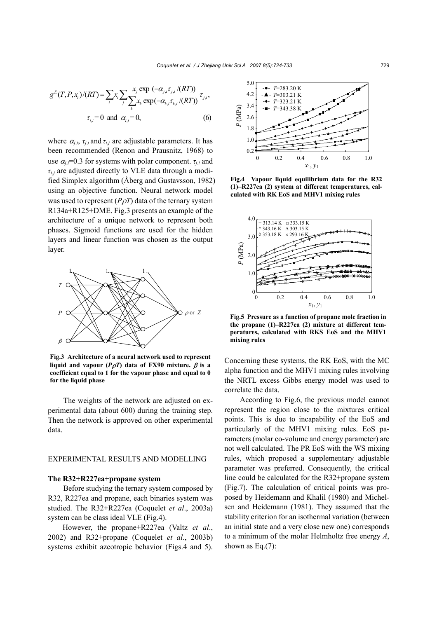$$
g^{E}(T, P, x_{i})/(RT) = \sum_{i} x_{i} \sum_{j} \frac{x_{j} \exp(-\alpha_{j,i} \tau_{j,i}/(RT))}{\sum_{k} x_{k} \exp(-\alpha_{k,i} \tau_{k,i}/(RT))} \tau_{j,i},
$$
  

$$
\tau_{i,i} = 0 \text{ and } \alpha_{i,i} = 0,
$$
 (6)

where  $\alpha_{i,i}$ ,  $\tau_{i,i}$  and  $\tau_{i,j}$  are adjustable parameters. It has been recommended (Renon and Prausnitz, 1968) to use  $\alpha_{i,i}$ =0.3 for systems with polar component.  $\tau_{i,i}$  and  $\tau_{i,j}$  are adjusted directly to VLE data through a modified Simplex algorithm (Åberg and Gustavsson, 1982) using an objective function. Neural network model was used to represent  $(P\rho T)$  data of the ternary system R134a+R125+DME. Fig.3 presents an example of the architecture of a unique network to represent both phases. Sigmoid functions are used for the hidden layers and linear function was chosen as the output layer.



**Fig.3 Architecture of a neural network used to represent liquid and vapour (** $P\rho T$ **) data of FX90 mixture.**  $\beta$  **is a coefficient equal to 1 for the vapour phase and equal to 0 for the liquid phase** 

The weights of the network are adjusted on experimental data (about 600) during the training step. Then the network is approved on other experimental data.

#### EXPERIMENTAL RESULTS AND MODELLING

## **The R32+R227ea+propane system**

Before studying the ternary system composed by R32, R227ea and propane, each binaries system was studied. The R32+R227ea (Coquelet *et al*., 2003a) system can be class ideal VLE (Fig.4).

However, the propane+R227ea (Valtz *et al*., 2002) and R32+propane (Coquelet *et al*., 2003b) systems exhibit azeotropic behavior (Figs.4 and 5).



**Fig.4 Vapour liquid equilibrium data for the R32 (1)–R227ea (2) system at different temperatures, calculated with RK EoS and MHV1 mixing rules**



**Fig.5 Pressure as a function of propane mole fraction in the propane (1)–R227ea (2) mixture at different temperatures, calculated with RKS EoS and the MHV1 mixing rules** 

Concerning these systems, the RK EoS, with the MC alpha function and the MHV1 mixing rules involving the NRTL excess Gibbs energy model was used to correlate the data.

According to Fig.6, the previous model cannot represent the region close to the mixtures critical points. This is due to incapability of the EoS and particularly of the MHV1 mixing rules. EoS parameters (molar co-volume and energy parameter) are not well calculated. The PR EoS with the WS mixing rules, which proposed a supplementary adjustable parameter was preferred. Consequently, the critical line could be calculated for the R32+propane system (Fig.7). The calculation of critical points was proposed by Heidemann and Khalil (1980) and Michelsen and Heidemann (1981). They assumed that the stability criterion for an isothermal variation (between an initial state and a very close new one) corresponds to a minimum of the molar Helmholtz free energy *A*, shown as Eq.(7):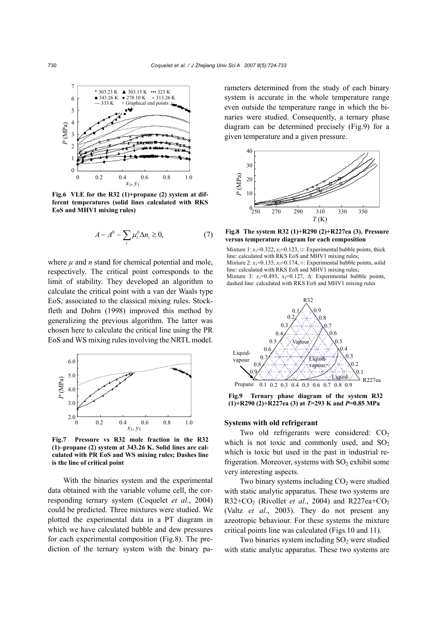

**Fig.6 VLE for the R32 (1)+propane (2) system at different temperatures (solid lines calculated with RKS EoS and MHV1 mixing rules)** 

$$
A - A^0 - \sum_i \mu_i^0 \Delta n_i \ge 0,
$$
 (7)

where  $\mu$  and  $n$  stand for chemical potential and mole, respectively. The critical point corresponds to the limit of stability. They developed an algorithm to calculate the critical point with a van der Waals type EoS, associated to the classical mixing rules. Stockfleth and Dohrn (1998) improved this method by generalizing the previous algorithm. The latter was chosen here to calculate the critical line using the PR EoS and WS mixing rules involving the NRTL model.



**Fig.7 Pressure vs R32 mole fraction in the R32 (1)–propane (2) system at 343.26 K. Solid lines are calculated with PR EoS and WS mixing rules; Dashes line is the line of critical point** 

With the binaries system and the experimental data obtained with the variable volume cell, the corresponding ternary system (Coquelet *et al*., 2004) could be predicted. Three mixtures were studied. We plotted the experimental data in a PT diagram in which we have calculated bubble and dew pressures for each experimental composition (Fig.8). The prediction of the ternary system with the binary parameters determined from the study of each binary system is accurate in the whole temperature range even outside the temperature range in which the binaries were studied. Consequently, a ternary phase diagram can be determined precisely (Fig.9) for a given temperature and a given pressure.



**Fig.8 The system R32 (1)+R290 (2)+R227ea (3). Pressure versus temperature diagram for each composition**

Mixture  $1: x_1=0.322, x_2=0.123, \square$ : Experimental bubble points, thick line: calculated with RKS EoS and MHV1 mixing rules; Mixture 2:  $x_1=0.135$ ,  $x_2=0.174$ ,  $\circ$ : Experimental bubble points, solid line: calculated with RKS EoS and MHV1 mixing rules; Mixture 3:  $x_1=0.493$ ,  $x_2=0.127$ ,  $\Delta$ : Experimental bubble points, dashed line: calculated with RKS EoS and MHV1 mixing rules



**Fig.9 Ternary phase diagram of the system R32 (1)+R290 (2)+R227ea (3) at** *T***=293 K and** *P***=0.85 MPa**

## **Systems with old refrigerant**

Two old refrigerants were considered:  $CO<sub>2</sub>$ which is not toxic and commonly used, and  $SO<sub>2</sub>$ which is toxic but used in the past in industrial refrigeration. Moreover, systems with  $SO<sub>2</sub>$  exhibit some very interesting aspects.

Two binary systems including  $CO<sub>2</sub>$  were studied with static analytic apparatus. These two systems are R32+CO2 (Rivollet *et al*., 2004) and R227ea+CO2 (Valtz *et al*., 2003). They do not present any azeotropic behaviour. For these systems the mixture critical points line was calculated (Figs.10 and 11).

Two binaries system including  $SO<sub>2</sub>$  were studied with static analytic apparatus. These two systems are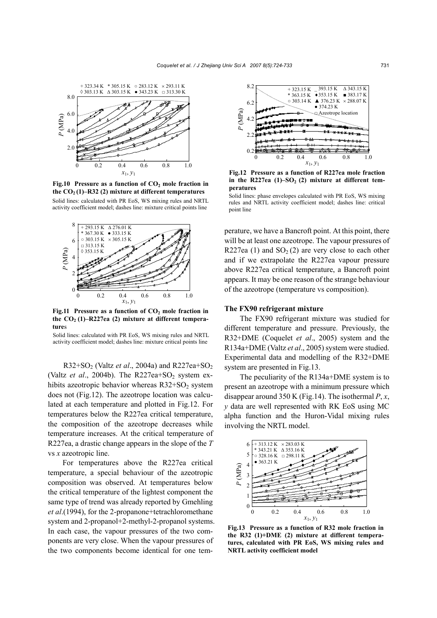

Fig.10 Pressure as a function of CO<sub>2</sub> mole fraction in the  $CO<sub>2</sub>(1)$ –R32 (2) mixture at different temperatures Solid lines: calculated with PR EoS, WS mixing rules and NRTL activity coefficient model; dashes line: mixture critical points line



Fig.11 Pressure as a function of CO<sub>2</sub> mole fraction in the  $CO<sub>2</sub>(1)$ -R227ea (2) mixture at different tempera**ture**s

Solid lines: calculated with PR EoS, WS mixing rules and NRTL activity coefficient model; dashes line: mixture critical points line

R32+SO2 (Valtz *et al*., 2004a) and R227ea+SO2 (Valtz *et al.*, 2004b). The  $R227ea+SO<sub>2</sub>$  system exhibits azeotropic behavior whereas  $R32+SO<sub>2</sub>$  system does not (Fig.12). The azeotrope location was calculated at each temperature and plotted in Fig.12. For temperatures below the R227ea critical temperature, the composition of the azeotrope decreases while temperature increases. At the critical temperature of R227ea, a drastic change appears in the slope of the *T* vs *x* azeotropic line.

For temperatures above the R227ea critical temperature, a special behaviour of the azeotropic composition was observed. At temperatures below the critical temperature of the lightest component the same type of trend was already reported by Gmehling *et al*.(1994), for the 2-propanone+tetrachloromethane system and 2-propanol+2-methyl-2-propanol systems. In each case, the vapour pressures of the two components are very close. When the vapour pressures of the two components become identical for one tem-



**Fig.12 Pressure as a function of R227ea mole fraction** in the R227ea  $(1)-SO<sub>2</sub>(2)$  mixture at different tem**peratures** 

Solid lines: phase envelopes calculated with PR EoS, WS mixing rules and NRTL activity coefficient model; dashes line: critical point line

perature, we have a Bancroft point. At this point, there will be at least one azeotrope. The vapour pressures of R227ea (1) and  $SO<sub>2</sub>(2)$  are very close to each other and if we extrapolate the R227ea vapour pressure above R227ea critical temperature, a Bancroft point appears. It may be one reason of the strange behaviour of the azeotrope (temperature vs composition).

## **The FX90 refrigerant mixture**

The FX90 refrigerant mixture was studied for different temperature and pressure. Previously, the R32+DME (Coquelet *et al*., 2005) system and the R134a+DME (Valtz *et al*., 2005) system were studied. Experimental data and modelling of the R32+DME system are presented in Fig.13.

The peculiarity of the R134a+DME system is to present an azeotrope with a minimum pressure which disappear around 350 K (Fig.14). The isothermal *P*, *x*, *y* data are well represented with RK EoS using MC alpha function and the Huron-Vidal mixing rules involving the NRTL model.



**Fig.13 Pressure as a function of R32 mole fraction in the R32 (1)+DME (2) mixture at different temperatures, calculated with PR EoS, WS mixing rules and NRTL activity coefficient model**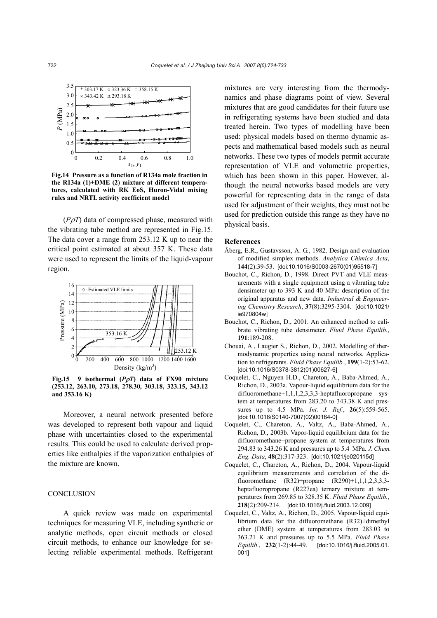

**Fig.14 Pressure as a function of R134a mole fraction in the R134a (1)+DME (2) mixture at different temperatures, calculated with RK EoS, Huron-Vidal mixing rules and NRTL activity coefficient model** 

(*P*ρ*T*) data of compressed phase, measured with the vibrating tube method are represented in Fig.15. The data cover a range from 253.12 K up to near the critical point estimated at about 357 K. These data were used to represent the limits of the liquid-vapour region.



**Fig.15 9 isothermal (***P*ρ*T***) data of FX90 mixture (253.12, 263.10, 273.18, 278.30, 303.18, 323.15, 343.12 and 353.16 K)** 

Moreover, a neural network presented before was developed to represent both vapour and liquid phase with uncertainties closed to the experimental results. This could be used to calculate derived properties like enthalpies if the vaporization enthalpies of the mixture are known.

## **CONCLUSION**

A quick review was made on experimental techniques for measuring VLE, including synthetic or analytic methods, open circuit methods or closed circuit methods, to enhance our knowledge for selecting reliable experimental methods. Refrigerant mixtures are very interesting from the thermodynamics and phase diagrams point of view. Several mixtures that are good candidates for their future use in refrigerating systems have been studied and data treated herein. Two types of modelling have been used: physical models based on thermo dynamic aspects and mathematical based models such as neural networks. These two types of models permit accurate representation of VLE and volumetric properties, which has been shown in this paper. However, although the neural networks based models are very powerful for representing data in the range of data used for adjustment of their weights, they must not be used for prediction outside this range as they have no physical basis.

#### **References**

- Åberg, E.R., Gustavsson, A. G., 1982. Design and evaluation of modified simplex methods. *Analytica Chimica Acta*, **144**(2):39-53. [doi:10.1016/S0003-2670(01)95518-7]
- Bouchot, C., Richon, D., 1998. Direct PVT and VLE measurements with a single equipment using a vibrating tube densimeter up to 393 K and 40 MPa: description of the original apparatus and new data. *Industrial & Engineering Chemistry Research*, **37**(8):3295-3304. [doi:10.1021/ ie970804w]
- Bouchot, C., Richon, D., 2001. An enhanced method to calibrate vibrating tube densimeter. *Fluid Phase Equilib.*, **191**:189-208.
- Chouai, A., Laugier S., Richon, D., 2002. Modelling of thermodynamic properties using neural networks. Application to refrigerants. *Fluid Phase Equilib.*, **199**(1-2):53-62. [doi:10.1016/S0378-3812(01)00627-6]
- Coquelet, C., Nguyen H.D., Chareton, A., Baba-Ahmed, A., Richon, D., 2003a. Vapour-liquid equilibrium data for the difluoromethane+1,1,1,2,3,3,3-heptafluoropropane system at temperatures from 283.20 to 343.38 K and pressures up to 4.5 MPa. *Int. J. Ref.*, **26**(5):559-565. [doi:10.1016/S0140-7007(02)00164-0]
- Coquelet, C., Chareton, A., Valtz, A., Baba-Ahmed, A., Richon, D., 2003b. Vapor-liquid equilibrium data for the difluoromethane+propane system at temperatures from 294.83 to 343.26 K and pressures up to 5.4 MPa. *J. Chem. Eng. Data*, **48**(2):317-323. [doi:10.1021/je020115d]
- Coquelet, C., Chareton, A., Richon, D., 2004. Vapour-liquid equilibrium measurements and correlation of the difluoromethane (R32)+propane (R290)+1,1,1,2,3,3,3 heptafluoropropane (R227ea) ternary mixture at temperatures from 269.85 to 328.35 K. *Fluid Phase Equilib.*, **218**(2):209-214. [doi:10.1016/j.fluid.2003.12.009]
- Coquelet, C., Valtz, A., Richon, D., 2005. Vapour-liquid equilibrium data for the difluoromethane (R32)+dimethyl ether (DME) system at temperatures from 283.03 to 363.21 K and pressures up to 5.5 MPa. *Fluid Phase Equilib*., **232**(1-2):44-49. [doi:10.1016/j.fluid.2005.01. 001]